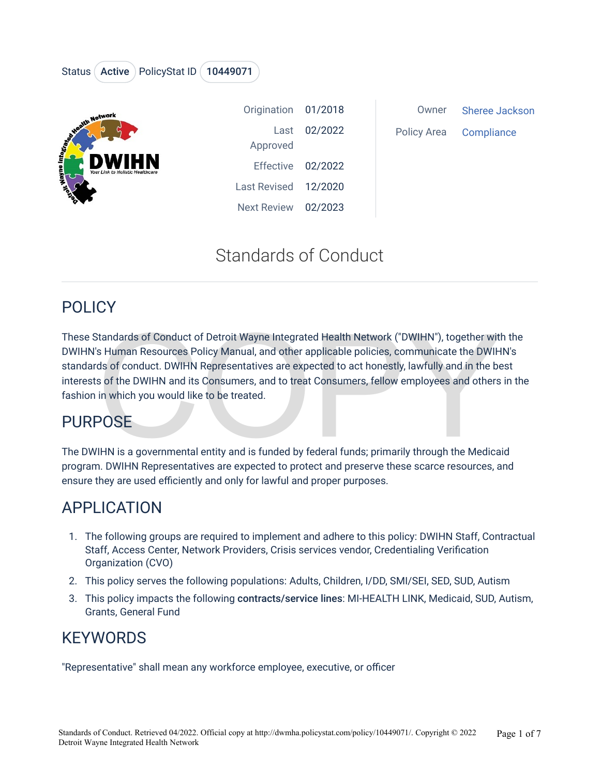## Status (Active ) PolicyStat ID (10449071



| Origination 01/2018  |              |
|----------------------|--------------|
| Approved             | Last 02/2022 |
| Effective 02/2022    |              |
| Last Revised 12/2020 |              |
| Next Review 02/2023  |              |

Owner Sheree Jackson Policy Area Compliance

# Standards of Conduct

## POLICY

Standards of Conduct of Detroit Wayne Integrated Health Network ("DWIHN"), together with<br>
S Human Resources Policy Manual, and other applicable policies, communicate the DWIH<br>
S of conduct. DWIHN Representatives are expect These Standards of Conduct of Detroit Wayne Integrated Health Network ("DWIHN"), together with the DWIHN's Human Resources Policy Manual, and other applicable policies, communicate the DWIHN's standards of conduct. DWIHN Representatives are expected to act honestly, lawfully and in the best interests of the DWIHN and its Consumers, and to treat Consumers, fellow employees and others in the fashion in which you would like to be treated.

# PURPOSE

The DWIHN is a governmental entity and is funded by federal funds; primarily through the Medicaid program. DWIHN Representatives are expected to protect and preserve these scarce resources, and ensure they are used efficiently and only for lawful and proper purposes.

# APPLICATION

- 1. The following groups are required to implement and adhere to this policy: DWIHN Staff, Contractual Staff, Access Center, Network Providers, Crisis services vendor, Credentialing Verification Organization (CVO)
- 2. This policy serves the following populations: Adults, Children, I/DD, SMI/SEI, SED, SUD, Autism
- 3. This policy impacts the following contracts/service lines: MI-HEALTH LINK, Medicaid, SUD, Autism, Grants, General Fund

# **KEYWORDS**

"Representative" shall mean any workforce employee, executive, or officer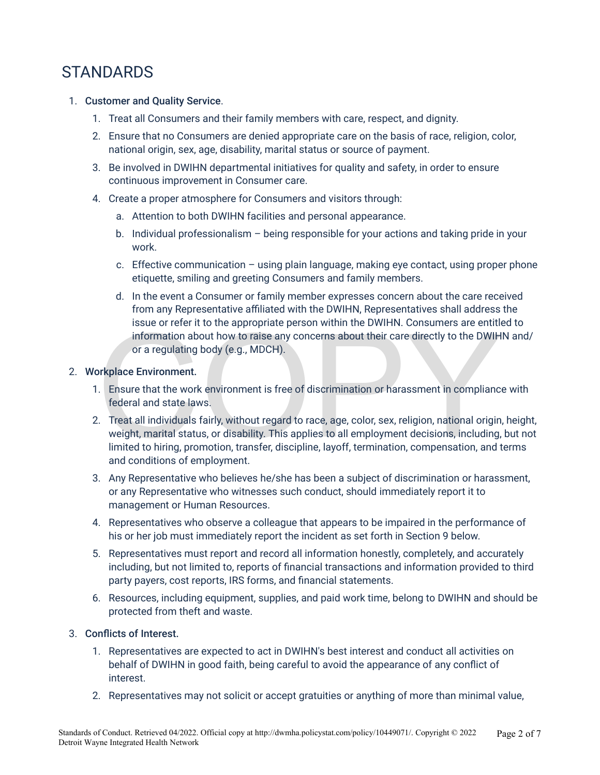# **STANDARDS**

- 1. Customer and Quality Service.
	- 1. Treat all Consumers and their family members with care, respect, and dignity.
	- 2. Ensure that no Consumers are denied appropriate care on the basis of race, religion, color, national origin, sex, age, disability, marital status or source of payment.
	- 3. Be involved in DWIHN departmental initiatives for quality and safety, in order to ensure continuous improvement in Consumer care.
	- 4. Create a proper atmosphere for Consumers and visitors through:
		- a. Attention to both DWIHN facilities and personal appearance.
		- b. Individual professionalism being responsible for your actions and taking pride in your work.
		- c. Effective communication  $-$  using plain language, making eye contact, using proper phone etiquette, smiling and greeting Consumers and family members.
		- d. In the event a Consumer or family member expresses concern about the care received from any Representative affiliated with the DWIHN, Representatives shall address the issue or refer it to the appropriate person within the DWIHN. Consumers are entitled to information about how to raise any concerns about their care directly to the DWIHN and/ or a regulating body (e.g., MDCH).

### 2. Workplace Environment.

- 1. Ensure that the work environment is free of discrimination or harassment in compliance with federal and state laws.
- ISSUe or refer it to the appropriate person within the DWIHN. Consumers are entitient<br>information about how to raise any concerns about their care directly to the DWIH<br>or a regulating body (e.g., MDCH).<br>Privation contracts 2. Treat all individuals fairly, without regard to race, age, color, sex, religion, national origin, height, weight, marital status, or disability. This applies to all employment decisions, including, but not limited to hiring, promotion, transfer, discipline, layoff, termination, compensation, and terms and conditions of employment.
- 3. Any Representative who believes he/she has been a subject of discrimination or harassment, or any Representative who witnesses such conduct, should immediately report it to management or Human Resources.
- 4. Representatives who observe a colleague that appears to be impaired in the performance of his or her job must immediately report the incident as set forth in Section 9 below.
- 5. Representatives must report and record all information honestly, completely, and accurately including, but not limited to, reports of financial transactions and information provided to third party payers, cost reports, IRS forms, and financial statements.
- 6. Resources, including equipment, supplies, and paid work time, belong to DWIHN and should be protected from theft and waste.

### 3. Conflicts of Interest.

- 1. Representatives are expected to act in DWIHN's best interest and conduct all activities on behalf of DWIHN in good faith, being careful to avoid the appearance of any conflict of interest.
- 2. Representatives may not solicit or accept gratuities or anything of more than minimal value,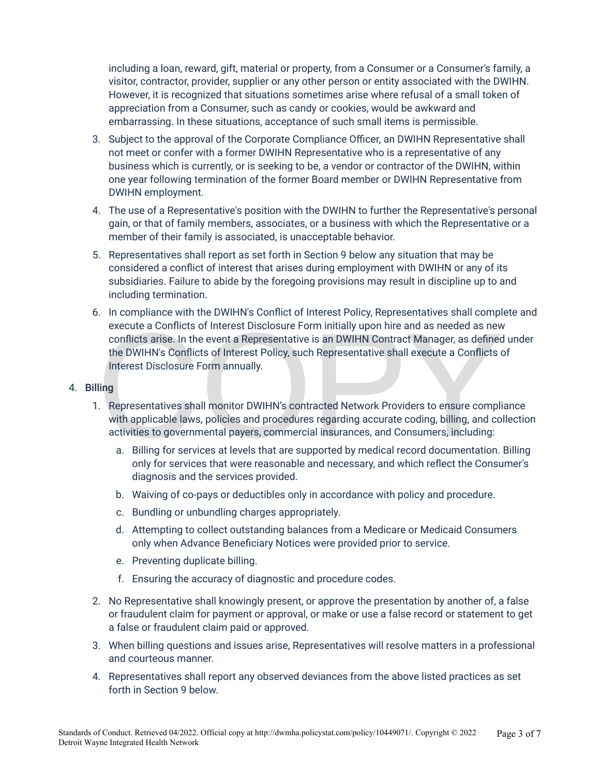including a loan, reward, gift, material or property, from a Consumer or a Consumer's family, a visitor, contractor, provider, supplier or any other person or entity associated with the DWIHN. However, it is recognized that situations sometimes arise where refusal of a small token of appreciation from a Consumer, such as candy or cookies, would be awkward and embarrassing. In these situations, acceptance of such small items is permissible.

- 3. Subject to the approval of the Corporate Compliance Officer, an DWIHN Representative shall not meet or confer with a former DWIHN Representative who is a representative of any business which is currently, or is seeking to be, a vendor or contractor of the DWIHN, within one year following termination of the former Board member or DWIHN Representative from DWIHN employment.
- 4. The use of a Representative's position with the DWIHN to further the Representative's personal gain, or that of family members, associates, or a business with which the Representative or a member of their family is associated, is unacceptable behavior.
- 5. Representatives shall report as set forth in Section 9 below any situation that may be considered a conflict of interest that arises during employment with DWIHN or any of its subsidiaries. Failure to abide by the foregoing provisions may result in discipline up to and including termination.
- execute a Conflicts of Interest Disclosure Form initially upon hire and as needed as new<br>conflicts arise. In the event a Representative is an DWIHN Contract Manager, as defined<br>the DWIHN's Conflicts of Interest Policy, suc 6. In compliance with the DWIHN's Conflict of Interest Policy, Representatives shall complete and execute a Conflicts of Interest Disclosure Form initially upon hire and as needed as new conflicts arise. In the event a Representative is an DWIHN Contract Manager, as defined under the DWIHN's Conflicts of Interest Policy, such Representative shall execute a Conflicts of Interest Disclosure Form annually.

#### 4. Billing

- 1. Representatives shall monitor DWIHN's contracted Network Providers to ensure compliance with applicable laws, policies and procedures regarding accurate coding, billing, and collection activities to governmental payers, commercial insurances, and Consumers, including:
	- a. Billing for services at levels that are supported by medical record documentation. Billing only for services that were reasonable and necessary, and which reflect the Consumer's diagnosis and the services provided.
	- b. Waiving of co-pays or deductibles only in accordance with policy and procedure.
	- c. Bundling or unbundling charges appropriately.
	- d. Attempting to collect outstanding balances from a Medicare or Medicaid Consumers only when Advance Beneficiary Notices were provided prior to service.
	- e. Preventing duplicate billing.
	- f. Ensuring the accuracy of diagnostic and procedure codes.
- 2. No Representative shall knowingly present, or approve the presentation by another of, a false or fraudulent claim for payment or approval, or make or use a false record or statement to get a false or fraudulent claim paid or approved.
- 3. When billing questions and issues arise, Representatives will resolve matters in a professional and courteous manner.
- 4. Representatives shall report any observed deviances from the above listed practices as set forth in Section 9 below.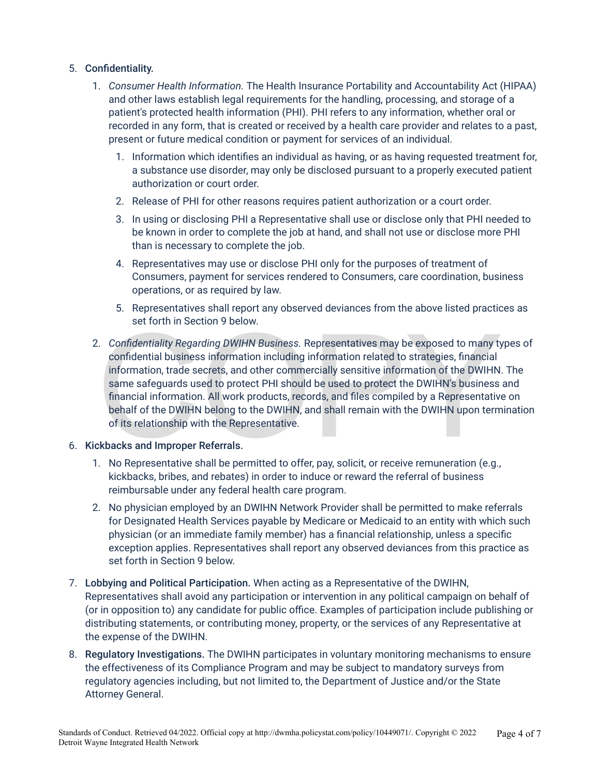### 5. Confidentiality.

- 1. *Consumer Health Information.* The Health Insurance Portability and Accountability Act (HIPAA) and other laws establish legal requirements for the handling, processing, and storage of a patient's protected health information (PHI). PHI refers to any information, whether oral or recorded in any form, that is created or received by a health care provider and relates to a past, present or future medical condition or payment for services of an individual.
	- 1. Information which identifies an individual as having, or as having requested treatment for, a substance use disorder, may only be disclosed pursuant to a properly executed patient authorization or court order.
	- 2. Release of PHI for other reasons requires patient authorization or a court order.
	- 3. In using or disclosing PHI a Representative shall use or disclose only that PHI needed to be known in order to complete the job at hand, and shall not use or disclose more PHI than is necessary to complete the job.
	- 4. Representatives may use or disclose PHI only for the purposes of treatment of Consumers, payment for services rendered to Consumers, care coordination, business operations, or as required by law.
	- 5. Representatives shall report any observed deviances from the above listed practices as set forth in Section 9 below.
- Set form in Section 9 below.<br>
Confidentiality Regarding DWIHN Business. Representatives may be exposed to many ty<br>
confidential business information including information related to strategies, financial<br>
information, trad 2. *Confidentiality Regarding DWIHN Business.* Representatives may be exposed to many types of confidential business information including information related to strategies, financial information, trade secrets, and other commercially sensitive information of the DWIHN. The same safeguards used to protect PHI should be used to protect the DWIHN's business and financial information. All work products, records, and files compiled by a Representative on behalf of the DWIHN belong to the DWIHN, and shall remain with the DWIHN upon termination of its relationship with the Representative.

#### 6. Kickbacks and Improper Referrals.

- 1. No Representative shall be permitted to offer, pay, solicit, or receive remuneration (e.g., kickbacks, bribes, and rebates) in order to induce or reward the referral of business reimbursable under any federal health care program.
- 2. No physician employed by an DWIHN Network Provider shall be permitted to make referrals for Designated Health Services payable by Medicare or Medicaid to an entity with which such physician (or an immediate family member) has a financial relationship, unless a specific exception applies. Representatives shall report any observed deviances from this practice as set forth in Section 9 below.
- 7. Lobbying and Political Participation. When acting as a Representative of the DWIHN, Representatives shall avoid any participation or intervention in any political campaign on behalf of (or in opposition to) any candidate for public office. Examples of participation include publishing or distributing statements, or contributing money, property, or the services of any Representative at the expense of the DWIHN.
- 8. Regulatory Investigations. The DWIHN participates in voluntary monitoring mechanisms to ensure the effectiveness of its Compliance Program and may be subject to mandatory surveys from regulatory agencies including, but not limited to, the Department of Justice and/or the State Attorney General.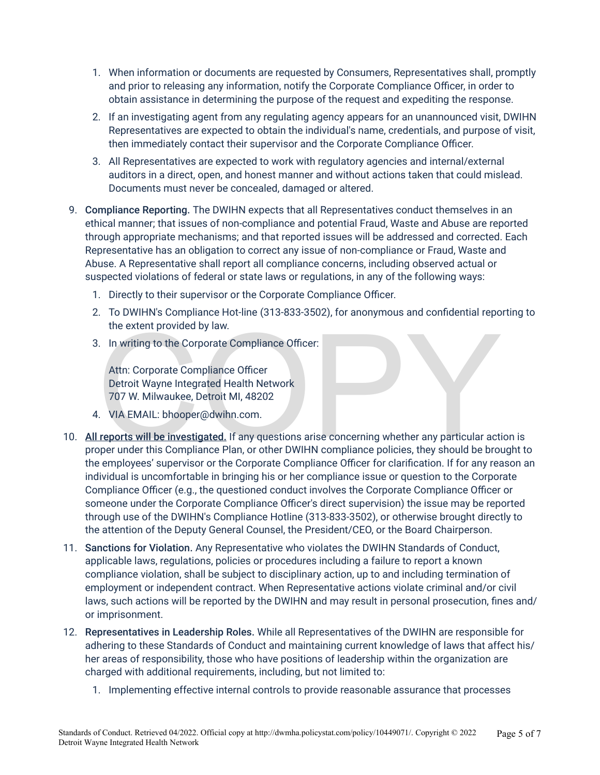- 1. When information or documents are requested by Consumers, Representatives shall, promptly and prior to releasing any information, notify the Corporate Compliance Officer, in order to obtain assistance in determining the purpose of the request and expediting the response.
- 2. If an investigating agent from any regulating agency appears for an unannounced visit, DWIHN Representatives are expected to obtain the individual's name, credentials, and purpose of visit, then immediately contact their supervisor and the Corporate Compliance Officer.
- 3. All Representatives are expected to work with regulatory agencies and internal/external auditors in a direct, open, and honest manner and without actions taken that could mislead. Documents must never be concealed, damaged or altered.
- 9. Compliance Reporting. The DWIHN expects that all Representatives conduct themselves in an ethical manner; that issues of non-compliance and potential Fraud, Waste and Abuse are reported through appropriate mechanisms; and that reported issues will be addressed and corrected. Each Representative has an obligation to correct any issue of non-compliance or Fraud, Waste and Abuse. A Representative shall report all compliance concerns, including observed actual or suspected violations of federal or state laws or regulations, in any of the following ways:
	- 1. Directly to their supervisor or the Corporate Compliance Officer.
	- 2. To DWIHN's Compliance Hot-line (313-833-3502), for anonymous and confidential reporting to the extent provided by law.
	- 3. In writing to the Corporate Compliance Officer:

Attn: Corporate Compliance Officer Detroit Wayne Integrated Health Network 707 W. Milwaukee, Detroit MI, 48202

- 4. VIA EMAIL: bhooper@dwihn.com.
- the extent provided by law.<br>
S. In writing to the Corporate Compliance Officer:<br>
Attn: Corporate Compliance Officer<br>
Detroit Wayne Integrated Health Network<br>
707 W. Milwaukee, Detroit MI, 48202<br>
... VIA EMAIL: bhooper@dwih 10. All reports will be investigated. If any questions arise concerning whether any particular action is proper under this Compliance Plan, or other DWIHN compliance policies, they should be brought to the employees' supervisor or the Corporate Compliance Officer for clarification. If for any reason an individual is uncomfortable in bringing his or her compliance issue or question to the Corporate Compliance Officer (e.g., the questioned conduct involves the Corporate Compliance Officer or someone under the Corporate Compliance Officer's direct supervision) the issue may be reported through use of the DWIHN's Compliance Hotline (313-833-3502), or otherwise brought directly to the attention of the Deputy General Counsel, the President/CEO, or the Board Chairperson.
- 11. Sanctions for Violation. Any Representative who violates the DWIHN Standards of Conduct, applicable laws, regulations, policies or procedures including a failure to report a known compliance violation, shall be subject to disciplinary action, up to and including termination of employment or independent contract. When Representative actions violate criminal and/or civil laws, such actions will be reported by the DWIHN and may result in personal prosecution, fines and/ or imprisonment.
- 12. Representatives in Leadership Roles. While all Representatives of the DWIHN are responsible for adhering to these Standards of Conduct and maintaining current knowledge of laws that affect his/ her areas of responsibility, those who have positions of leadership within the organization are charged with additional requirements, including, but not limited to:
	- 1. Implementing effective internal controls to provide reasonable assurance that processes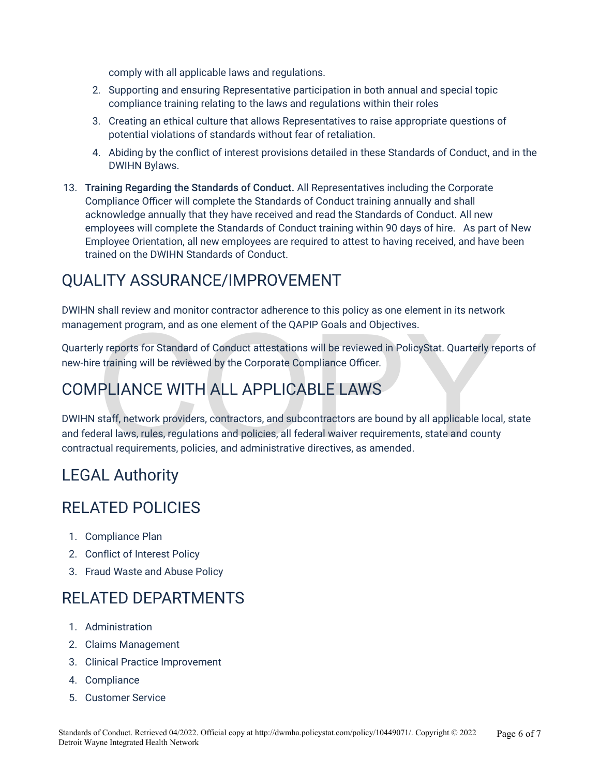comply with all applicable laws and regulations.

- 2. Supporting and ensuring Representative participation in both annual and special topic compliance training relating to the laws and regulations within their roles
- 3. Creating an ethical culture that allows Representatives to raise appropriate questions of potential violations of standards without fear of retaliation.
- 4. Abiding by the conflict of interest provisions detailed in these Standards of Conduct, and in the DWIHN Bylaws.
- 13. Training Regarding the Standards of Conduct. All Representatives including the Corporate Compliance Officer will complete the Standards of Conduct training annually and shall acknowledge annually that they have received and read the Standards of Conduct. All new employees will complete the Standards of Conduct training within 90 days of hire. As part of New Employee Orientation, all new employees are required to attest to having received, and have been trained on the DWIHN Standards of Conduct.

# QUALITY ASSURANCE/IMPROVEMENT

DWIHN shall review and monitor contractor adherence to this policy as one element in its network management program, and as one element of the QAPIP Goals and Objectives.

Quarterly reports for Standard of Conduct attestations will be reviewed in PolicyStat. Quarterly reports of new-hire training will be reviewed by the Corporate Compliance Officer.

# COMPLIANCE WITH ALL APPLICABLE LAWS

ement program, and as one element of the QAPIP Goals and Objectives.<br>
Ny reports for Standard of Conduct attestations will be reviewed in PolicyStat. Quarterly rep<br>
training will be reviewed by the Corporate Compliance Off DWIHN staff, network providers, contractors, and subcontractors are bound by all applicable local, state and federal laws, rules, regulations and policies, all federal waiver requirements, state and county contractual requirements, policies, and administrative directives, as amended.

# LEGAL Authority

# RELATED POLICIES

- 1. Compliance Plan
- 2. Conflict of Interest Policy
- 3. Fraud Waste and Abuse Policy

# RELATED DEPARTMENTS

- 1. Administration
- 2. Claims Management
- 3. Clinical Practice Improvement
- 4. Compliance
- 5. Customer Service